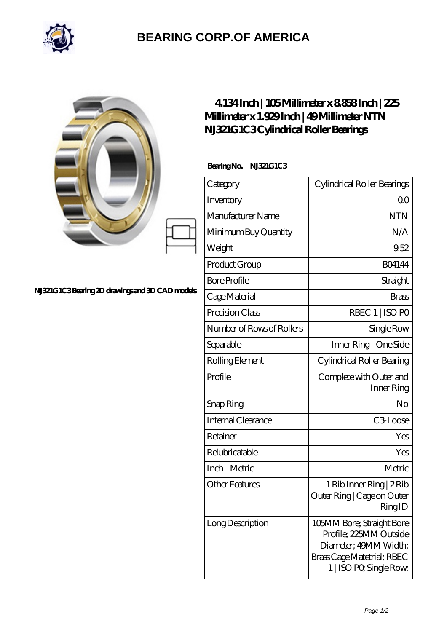

## **[BEARING CORP.OF AMERICA](https://m.bluemondayreview.com)**

|                                                | 4134Inch   105Millimeter x 8858Inch   225<br>Millimeter x 1.929 Inch   49 Millimeter NTN<br>NJ321G1C3Cylindrical Roller Bearings |                                                                                                                                       |
|------------------------------------------------|----------------------------------------------------------------------------------------------------------------------------------|---------------------------------------------------------------------------------------------------------------------------------------|
| NJ321G1C3Bearing 2D drawings and 3D CAD models | BearingNo. NJ321G1C3                                                                                                             |                                                                                                                                       |
|                                                | Category                                                                                                                         | Cylindrical Roller Bearings                                                                                                           |
|                                                | Inventory                                                                                                                        | 0 <sub>0</sub>                                                                                                                        |
|                                                | Manufacturer Name                                                                                                                | <b>NTN</b>                                                                                                                            |
|                                                | Minimum Buy Quantity                                                                                                             | N/A                                                                                                                                   |
|                                                | Weight                                                                                                                           | 9.52                                                                                                                                  |
|                                                | Product Group                                                                                                                    | <b>BO4144</b>                                                                                                                         |
|                                                | <b>Bore Profile</b>                                                                                                              | Straight                                                                                                                              |
|                                                | Cage Material                                                                                                                    | <b>Brass</b>                                                                                                                          |
|                                                | Precision Class                                                                                                                  | RBEC 1   ISO PO                                                                                                                       |
|                                                | Number of Rows of Rollers                                                                                                        | Single Row                                                                                                                            |
|                                                | Separable                                                                                                                        | Inner Ring - One Side                                                                                                                 |
|                                                | Rolling Element                                                                                                                  | Cylindrical Roller Bearing                                                                                                            |
|                                                | Profile                                                                                                                          | Complete with Outer and<br>Inner Ring                                                                                                 |
|                                                | Snap Ring                                                                                                                        | No                                                                                                                                    |
|                                                | Internal Clearance                                                                                                               | C3Loose                                                                                                                               |
|                                                | Retainer                                                                                                                         | Yes                                                                                                                                   |
|                                                | Relubricatable                                                                                                                   | Yes                                                                                                                                   |
|                                                | Inch - Metric                                                                                                                    | Metric                                                                                                                                |
|                                                | <b>Other Features</b>                                                                                                            | 1 Rib Inner Ring   2 Rib<br>Outer Ring   Cage on Outer<br>RingID                                                                      |
|                                                | Long Description                                                                                                                 | 105MM Bore; Straight Bore<br>Profile; 225MM Outside<br>Diameter; 49MM Width;<br>Brass Cage Matetrial; RBEC<br>1   ISO PO, Single Row, |